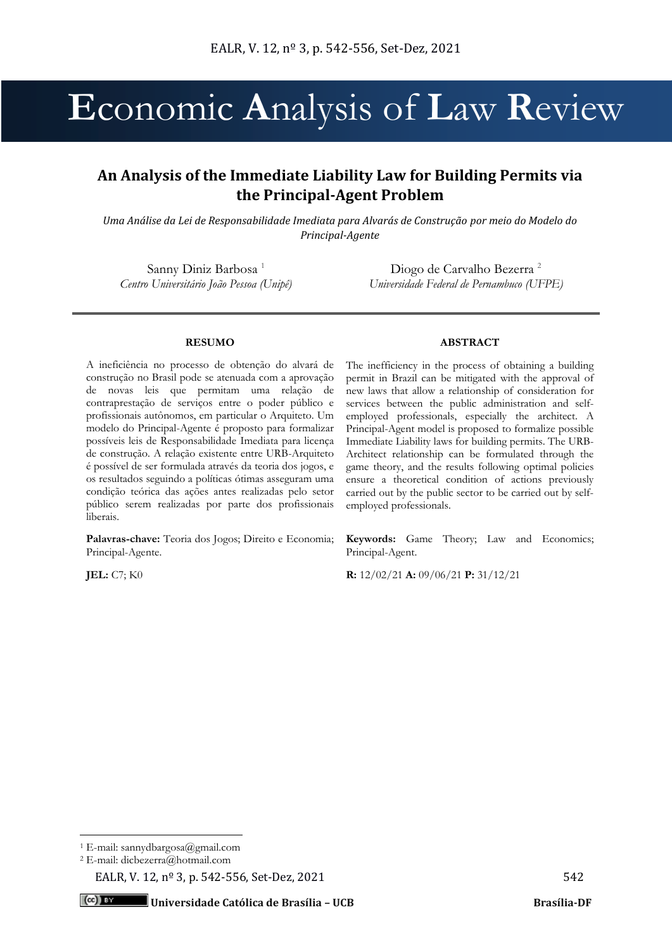# **E**conomic **A**nalysis of **L**aw **R**eview

## **An Analysis of the Immediate Liability Law for Building Permits via the Principal-Agent Problem**

*Uma Análise da Lei de Responsabilidade Imediata para Alvarás de Construção por meio do Modelo do Principal-Agente*

Sanny Diniz Barbosa<sup>1</sup> *Centro Universitário João Pessoa (Unipê)*

Diogo de Carvalho Bezerra<sup>2</sup> *Universidade Federal de Pernambuco (UFPE)*

## **RESUMO**

A ineficiência no processo de obtenção do alvará de construção no Brasil pode se atenuada com a aprovação de novas leis que permitam uma relação de contraprestação de serviços entre o poder público e profissionais autônomos, em particular o Arquiteto. Um modelo do Principal-Agente é proposto para formalizar possíveis leis de Responsabilidade Imediata para licença de construção. A relação existente entre URB-Arquiteto é possível de ser formulada através da teoria dos jogos, e os resultados seguindo a políticas ótimas asseguram uma condição teórica das ações antes realizadas pelo setor público serem realizadas por parte dos profissionais liberais.

**Palavras-chave:** Teoria dos Jogos; Direito e Economia; Principal-Agente.

## **ABSTRACT**

The inefficiency in the process of obtaining a building permit in Brazil can be mitigated with the approval of new laws that allow a relationship of consideration for services between the public administration and selfemployed professionals, especially the architect. A Principal-Agent model is proposed to formalize possible Immediate Liability laws for building permits. The URB-Architect relationship can be formulated through the game theory, and the results following optimal policies ensure a theoretical condition of actions previously carried out by the public sector to be carried out by selfemployed professionals.

**Keywords:** Game Theory; Law and Economics; Principal-Agent.

**JEL:** C7; K0 **R:** 12/02/21 **A:** 09/06/21 **P:** 31/12/21

<sup>1</sup> E-mail: sannydbargosa@gmail.com

<sup>2</sup> E-mail: dicbezerra@hotmail.com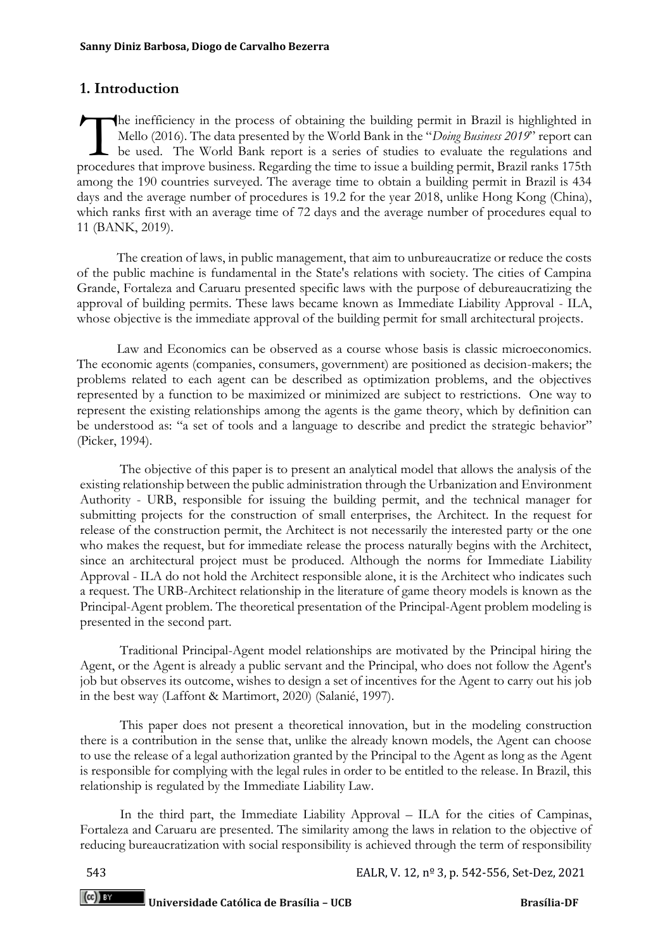## **1. Introduction**

he inefficiency in the process of obtaining the building permit in Brazil is highlighted in Mello (2016). The data presented by the World Bank in the "*Doing Business 2019*" report can be used. The World Bank report is a series of studies to evaluate the regulations and The inefficiency in the process of obtaining the building permit in Brazil is highlighted in Mello (2016). The data presented by the World Bank in the "Doing Business 2019" report can be used. The World Bank report is a se among the 190 countries surveyed. The average time to obtain a building permit in Brazil is 434 days and the average number of procedures is 19.2 for the year 2018, unlike Hong Kong (China), which ranks first with an average time of 72 days and the average number of procedures equal to 11 (BANK, 2019).

The creation of laws, in public management, that aim to unbureaucratize or reduce the costs of the public machine is fundamental in the State's relations with society. The cities of Campina Grande, Fortaleza and Caruaru presented specific laws with the purpose of debureaucratizing the approval of building permits. These laws became known as Immediate Liability Approval - ILA, whose objective is the immediate approval of the building permit for small architectural projects.

Law and Economics can be observed as a course whose basis is classic microeconomics. The economic agents (companies, consumers, government) are positioned as decision-makers; the problems related to each agent can be described as optimization problems, and the objectives represented by a function to be maximized or minimized are subject to restrictions. One way to represent the existing relationships among the agents is the game theory, which by definition can be understood as: "a set of tools and a language to describe and predict the strategic behavior" (Picker, 1994).

The objective of this paper is to present an analytical model that allows the analysis of the existing relationship between the public administration through the Urbanization and Environment Authority - URB, responsible for issuing the building permit, and the technical manager for submitting projects for the construction of small enterprises, the Architect. In the request for release of the construction permit, the Architect is not necessarily the interested party or the one who makes the request, but for immediate release the process naturally begins with the Architect, since an architectural project must be produced. Although the norms for Immediate Liability Approval - ILA do not hold the Architect responsible alone, it is the Architect who indicates such a request. The URB-Architect relationship in the literature of game theory models is known as the Principal-Agent problem. The theoretical presentation of the Principal-Agent problem modeling is presented in the second part.

Traditional Principal-Agent model relationships are motivated by the Principal hiring the Agent, or the Agent is already a public servant and the Principal, who does not follow the Agent's job but observes its outcome, wishes to design a set of incentives for the Agent to carry out his job in the best way (Laffont & Martimort, 2020) (Salanié, 1997).

This paper does not present a theoretical innovation, but in the modeling construction there is a contribution in the sense that, unlike the already known models, the Agent can choose to use the release of a legal authorization granted by the Principal to the Agent as long as the Agent is responsible for complying with the legal rules in order to be entitled to the release. In Brazil, this relationship is regulated by the Immediate Liability Law.

In the third part, the Immediate Liability Approval – ILA for the cities of Campinas, Fortaleza and Caruaru are presented. The similarity among the laws in relation to the objective of reducing bureaucratization with social responsibility is achieved through the term of responsibility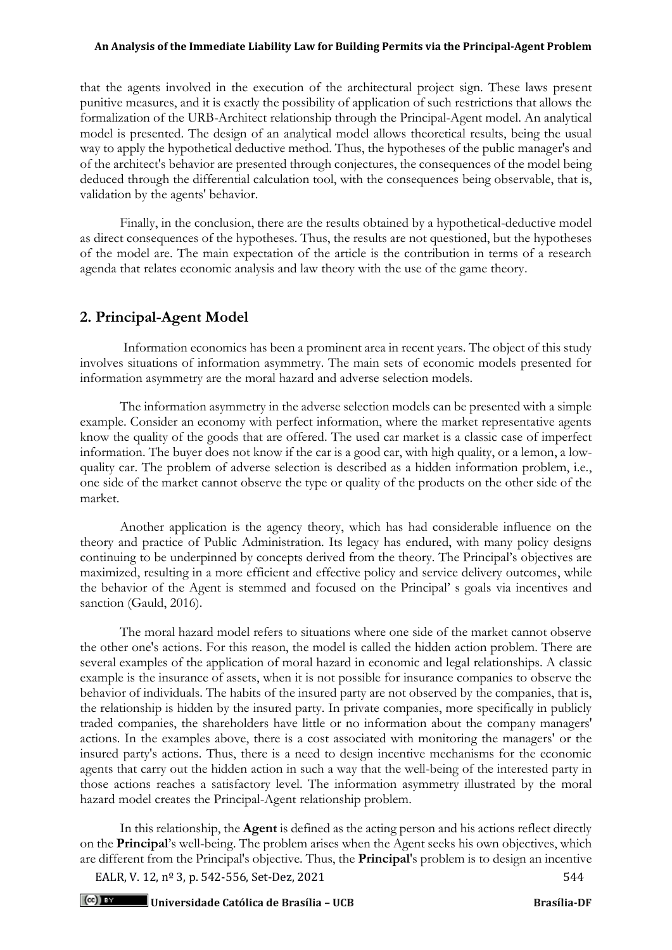that the agents involved in the execution of the architectural project sign. These laws present punitive measures, and it is exactly the possibility of application of such restrictions that allows the formalization of the URB-Architect relationship through the Principal-Agent model. An analytical model is presented. The design of an analytical model allows theoretical results, being the usual way to apply the hypothetical deductive method. Thus, the hypotheses of the public manager's and of the architect's behavior are presented through conjectures, the consequences of the model being deduced through the differential calculation tool, with the consequences being observable, that is, validation by the agents' behavior.

Finally, in the conclusion, there are the results obtained by a hypothetical-deductive model as direct consequences of the hypotheses. Thus, the results are not questioned, but the hypotheses of the model are. The main expectation of the article is the contribution in terms of a research agenda that relates economic analysis and law theory with the use of the game theory.

## **2. Principal-Agent Model**

Information economics has been a prominent area in recent years. The object of this study involves situations of information asymmetry. The main sets of economic models presented for information asymmetry are the moral hazard and adverse selection models.

The information asymmetry in the adverse selection models can be presented with a simple example. Consider an economy with perfect information, where the market representative agents know the quality of the goods that are offered. The used car market is a classic case of imperfect information. The buyer does not know if the car is a good car, with high quality, or a lemon, a lowquality car. The problem of adverse selection is described as a hidden information problem, i.e., one side of the market cannot observe the type or quality of the products on the other side of the market.

Another application is the agency theory, which has had considerable influence on the theory and practice of Public Administration. Its legacy has endured, with many policy designs continuing to be underpinned by concepts derived from the theory. The Principal's objectives are maximized, resulting in a more efficient and effective policy and service delivery outcomes, while the behavior of the Agent is stemmed and focused on the Principal' s goals via incentives and sanction (Gauld, 2016).

The moral hazard model refers to situations where one side of the market cannot observe the other one's actions. For this reason, the model is called the hidden action problem. There are several examples of the application of moral hazard in economic and legal relationships. A classic example is the insurance of assets, when it is not possible for insurance companies to observe the behavior of individuals. The habits of the insured party are not observed by the companies, that is, the relationship is hidden by the insured party. In private companies, more specifically in publicly traded companies, the shareholders have little or no information about the company managers' actions. In the examples above, there is a cost associated with monitoring the managers' or the insured party's actions. Thus, there is a need to design incentive mechanisms for the economic agents that carry out the hidden action in such a way that the well-being of the interested party in those actions reaches a satisfactory level. The information asymmetry illustrated by the moral hazard model creates the Principal-Agent relationship problem.

In this relationship, the **Agent** is defined as the acting person and his actions reflect directly on the **Principal**'s well-being. The problem arises when the Agent seeks his own objectives, which are different from the Principal's objective. Thus, the **Principal**'s problem is to design an incentive

EALR, V. 12, nº 3, p. 542-556, Set-Dez, 2021 544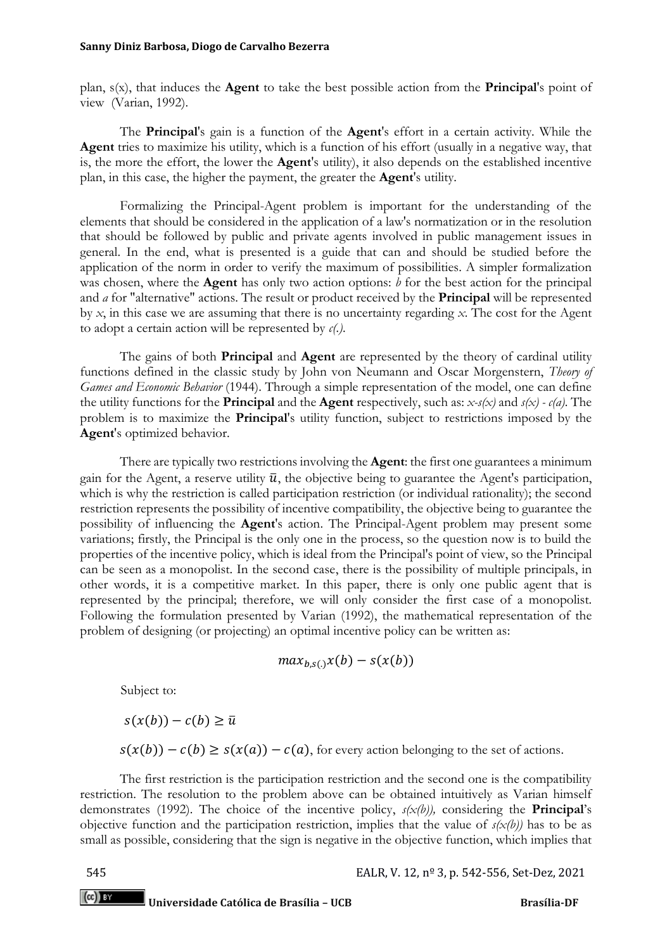#### **Sanny Diniz Barbosa, Diogo de Carvalho Bezerra**

plan, s(x), that induces the **Agent** to take the best possible action from the **Principal**'s point of view (Varian, 1992).

The **Principal**'s gain is a function of the **Agent**'s effort in a certain activity. While the **Agent** tries to maximize his utility, which is a function of his effort (usually in a negative way, that is, the more the effort, the lower the **Agent**'s utility), it also depends on the established incentive plan, in this case, the higher the payment, the greater the **Agent**'s utility.

Formalizing the Principal-Agent problem is important for the understanding of the elements that should be considered in the application of a law's normatization or in the resolution that should be followed by public and private agents involved in public management issues in general. In the end, what is presented is a guide that can and should be studied before the application of the norm in order to verify the maximum of possibilities. A simpler formalization was chosen, where the **Agent** has only two action options: *b* for the best action for the principal and *a* for "alternative" actions. The result or product received by the **Principal** will be represented by *x*, in this case we are assuming that there is no uncertainty regarding *x*. The cost for the Agent to adopt a certain action will be represented by *c(.)*.

The gains of both **Principal** and **Agent** are represented by the theory of cardinal utility functions defined in the classic study by John von Neumann and Oscar Morgenstern, *Theory of Games and Economic Behavior* (1944). Through a simple representation of the model, one can define the utility functions for the **Principal** and the **Agent** respectively, such as: *x-s(x)* and *s(x) - c(a)*. The problem is to maximize the **Principal**'s utility function, subject to restrictions imposed by the **Agent**'s optimized behavior.

There are typically two restrictions involving the **Agent**: the first one guarantees a minimum gain for the Agent, a reserve utility  $\bar{u}$ , the objective being to guarantee the Agent's participation, which is why the restriction is called participation restriction (or individual rationality); the second restriction represents the possibility of incentive compatibility, the objective being to guarantee the possibility of influencing the **Agent**'s action. The Principal-Agent problem may present some variations; firstly, the Principal is the only one in the process, so the question now is to build the properties of the incentive policy, which is ideal from the Principal's point of view, so the Principal can be seen as a monopolist. In the second case, there is the possibility of multiple principals, in other words, it is a competitive market. In this paper, there is only one public agent that is represented by the principal; therefore, we will only consider the first case of a monopolist. Following the formulation presented by Varian (1992), the mathematical representation of the problem of designing (or projecting) an optimal incentive policy can be written as:

$$
max_{b,s(.)}x(b) - s(x(b))
$$

Subject to:

 $s(x(b)) - c(b) \geq \overline{u}$ 

 $s(x(b)) - c(b) \geq s(x(a)) - c(a)$ , for every action belonging to the set of actions.

The first restriction is the participation restriction and the second one is the compatibility restriction. The resolution to the problem above can be obtained intuitively as Varian himself demonstrates (1992). The choice of the incentive policy, *s(x(b)),* considering the **Principal**'s objective function and the participation restriction, implies that the value of *s(x(b))* has to be as small as possible, considering that the sign is negative in the objective function, which implies that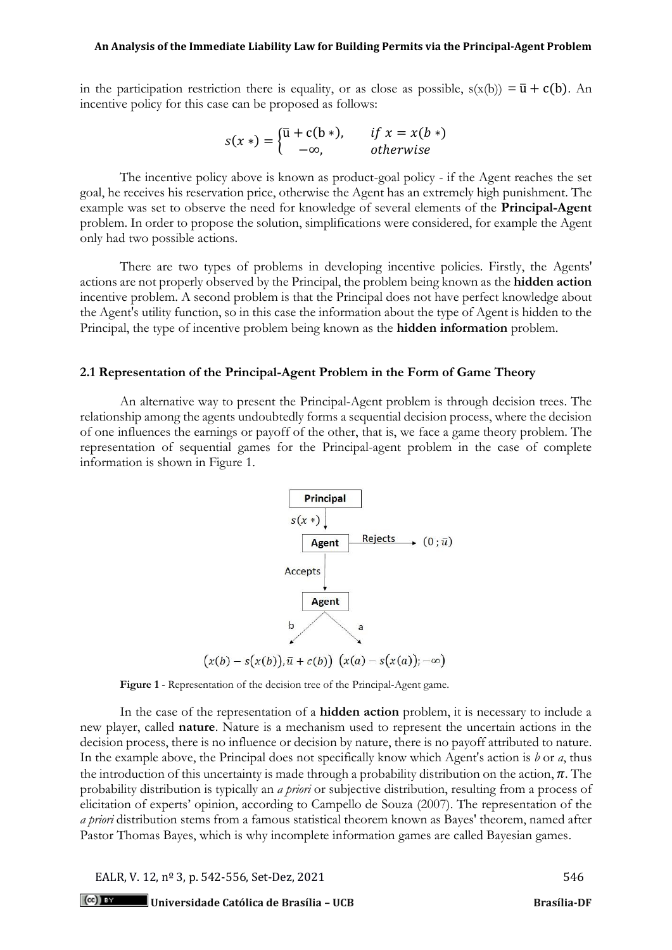in the participation restriction there is equality, or as close as possible,  $s(x(b)) = \bar{u} + c(b)$ . An incentive policy for this case can be proposed as follows:

$$
s(x*) = \begin{cases} \overline{u} + c(b*) & \text{if } x = x(b*)\\ -\infty, & \text{otherwise} \end{cases}
$$

The incentive policy above is known as product-goal policy - if the Agent reaches the set goal, he receives his reservation price, otherwise the Agent has an extremely high punishment. The example was set to observe the need for knowledge of several elements of the **Principal-Agent** problem. In order to propose the solution, simplifications were considered, for example the Agent only had two possible actions.

There are two types of problems in developing incentive policies. Firstly, the Agents' actions are not properly observed by the Principal, the problem being known as the **hidden action** incentive problem. A second problem is that the Principal does not have perfect knowledge about the Agent's utility function, so in this case the information about the type of Agent is hidden to the Principal, the type of incentive problem being known as the **hidden information** problem.

## **2.1 Representation of the Principal-Agent Problem in the Form of Game Theory**

An alternative way to present the Principal-Agent problem is through decision trees. The relationship among the agents undoubtedly forms a sequential decision process, where the decision of one influences the earnings or payoff of the other, that is, we face a game theory problem. The representation of sequential games for the Principal-agent problem in the case of complete information is shown in Figure 1.





In the case of the representation of a **hidden action** problem, it is necessary to include a new player, called **nature**. Nature is a mechanism used to represent the uncertain actions in the decision process, there is no influence or decision by nature, there is no payoff attributed to nature. In the example above, the Principal does not specifically know which Agent's action is *b* or *a*, thus the introduction of this uncertainty is made through a probability distribution on the action,  $\pi$ . The probability distribution is typically an *a priori* or subjective distribution, resulting from a process of elicitation of experts' opinion, according to Campello de Souza (2007). The representation of the *a priori* distribution stems from a famous statistical theorem known as Bayes' theorem, named after Pastor Thomas Bayes, which is why incomplete information games are called Bayesian games.

EALR, V. 12, nº 3, p. 542-556, Set-Dez, 2021 546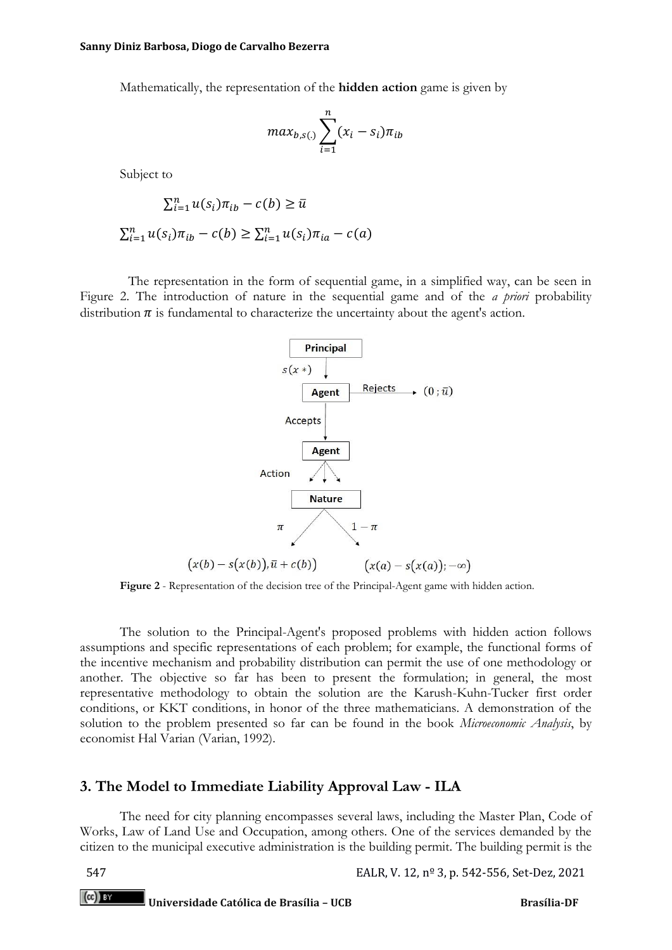Mathematically, the representation of the **hidden action** game is given by

$$
max_{b,s(.)} \sum_{i=1}^{n} (x_i - s_i) \pi_{ib}
$$

Subject to

$$
\sum_{i=1}^{n} u(s_i) \pi_{ib} - c(b) \ge \bar{u}
$$
  

$$
\sum_{i=1}^{n} u(s_i) \pi_{ib} - c(b) \ge \sum_{i=1}^{n} u(s_i) \pi_{ia} - c(a)
$$

The representation in the form of sequential game, in a simplified way, can be seen in Figure 2. The introduction of nature in the sequential game and of the *a priori* probability distribution  $\pi$  is fundamental to characterize the uncertainty about the agent's action.



**Figure 2** - Representation of the decision tree of the Principal-Agent game with hidden action.

The solution to the Principal-Agent's proposed problems with hidden action follows assumptions and specific representations of each problem; for example, the functional forms of the incentive mechanism and probability distribution can permit the use of one methodology or another. The objective so far has been to present the formulation; in general, the most representative methodology to obtain the solution are the Karush-Kuhn-Tucker first order conditions, or KKT conditions, in honor of the three mathematicians. A demonstration of the solution to the problem presented so far can be found in the book *Microeconomic Analysis*, by economist Hal Varian (Varian, 1992).

## **3. The Model to Immediate Liability Approval Law - ILA**

The need for city planning encompasses several laws, including the Master Plan, Code of Works, Law of Land Use and Occupation, among others. One of the services demanded by the citizen to the municipal executive administration is the building permit. The building permit is the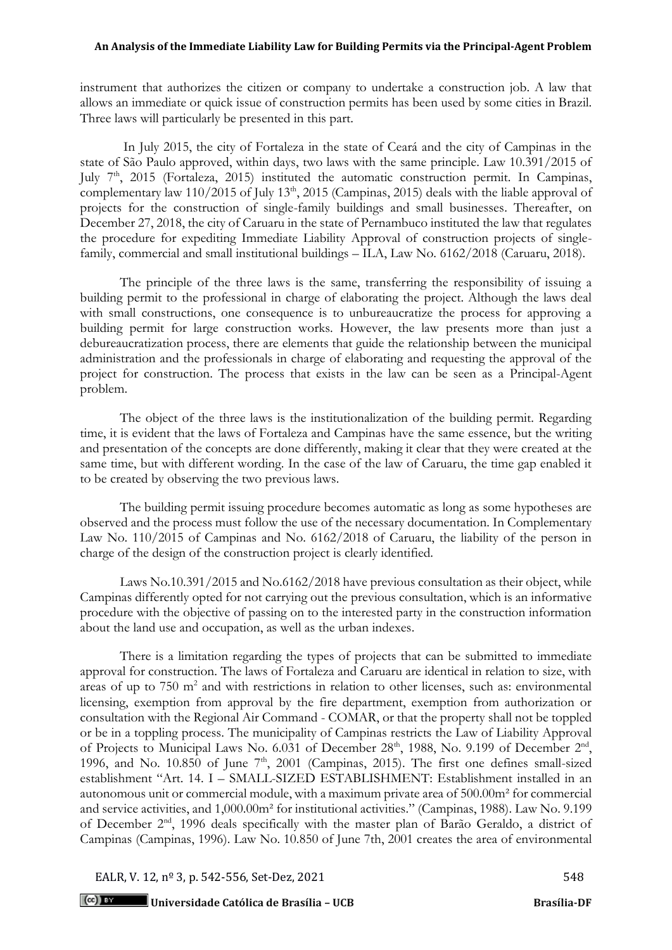instrument that authorizes the citizen or company to undertake a construction job. A law that allows an immediate or quick issue of construction permits has been used by some cities in Brazil. Three laws will particularly be presented in this part.

In July 2015, the city of Fortaleza in the state of Ceará and the city of Campinas in the state of São Paulo approved, within days, two laws with the same principle. Law 10.391/2015 of July 7<sup>th</sup>, 2015 (Fortaleza, 2015) instituted the automatic construction permit. In Campinas, complementary law 110/2015 of July 13<sup>th</sup>, 2015 (Campinas, 2015) deals with the liable approval of projects for the construction of single-family buildings and small businesses. Thereafter, on December 27, 2018, the city of Caruaru in the state of Pernambuco instituted the law that regulates the procedure for expediting Immediate Liability Approval of construction projects of singlefamily, commercial and small institutional buildings – ILA, Law No. 6162/2018 (Caruaru, 2018).

The principle of the three laws is the same, transferring the responsibility of issuing a building permit to the professional in charge of elaborating the project. Although the laws deal with small constructions, one consequence is to unbureaucratize the process for approving a building permit for large construction works. However, the law presents more than just a debureaucratization process, there are elements that guide the relationship between the municipal administration and the professionals in charge of elaborating and requesting the approval of the project for construction. The process that exists in the law can be seen as a Principal-Agent problem.

The object of the three laws is the institutionalization of the building permit. Regarding time, it is evident that the laws of Fortaleza and Campinas have the same essence, but the writing and presentation of the concepts are done differently, making it clear that they were created at the same time, but with different wording. In the case of the law of Caruaru, the time gap enabled it to be created by observing the two previous laws.

The building permit issuing procedure becomes automatic as long as some hypotheses are observed and the process must follow the use of the necessary documentation. In Complementary Law No. 110/2015 of Campinas and No. 6162/2018 of Caruaru, the liability of the person in charge of the design of the construction project is clearly identified.

Laws No.10.391/2015 and No.6162/2018 have previous consultation as their object, while Campinas differently opted for not carrying out the previous consultation, which is an informative procedure with the objective of passing on to the interested party in the construction information about the land use and occupation, as well as the urban indexes.

There is a limitation regarding the types of projects that can be submitted to immediate approval for construction. The laws of Fortaleza and Caruaru are identical in relation to size, with areas of up to 750 m<sup>2</sup> and with restrictions in relation to other licenses, such as: environmental licensing, exemption from approval by the fire department, exemption from authorization or consultation with the Regional Air Command - COMAR, or that the property shall not be toppled or be in a toppling process. The municipality of Campinas restricts the Law of Liability Approval of Projects to Municipal Laws No. 6.031 of December  $28<sup>th</sup>$ , 1988, No. 9.199 of December  $2<sup>nd</sup>$ , 1996, and No.  $10.850$  of June  $7<sup>th</sup>$ , 2001 (Campinas, 2015). The first one defines small-sized establishment "Art. 14. I – SMALL-SIZED ESTABLISHMENT: Establishment installed in an autonomous unit or commercial module, with a maximum private area of 500.00m² for commercial and service activities, and 1,000.00m² for institutional activities." (Campinas, 1988). Law No. 9.199 of December 2nd, 1996 deals specifically with the master plan of Barão Geraldo, a district of Campinas (Campinas, 1996). Law No. 10.850 of June 7th, 2001 creates the area of environmental

EALR, V. 12,  $n^{\circ}$  3, p. 542-556, Set-Dez, 2021 548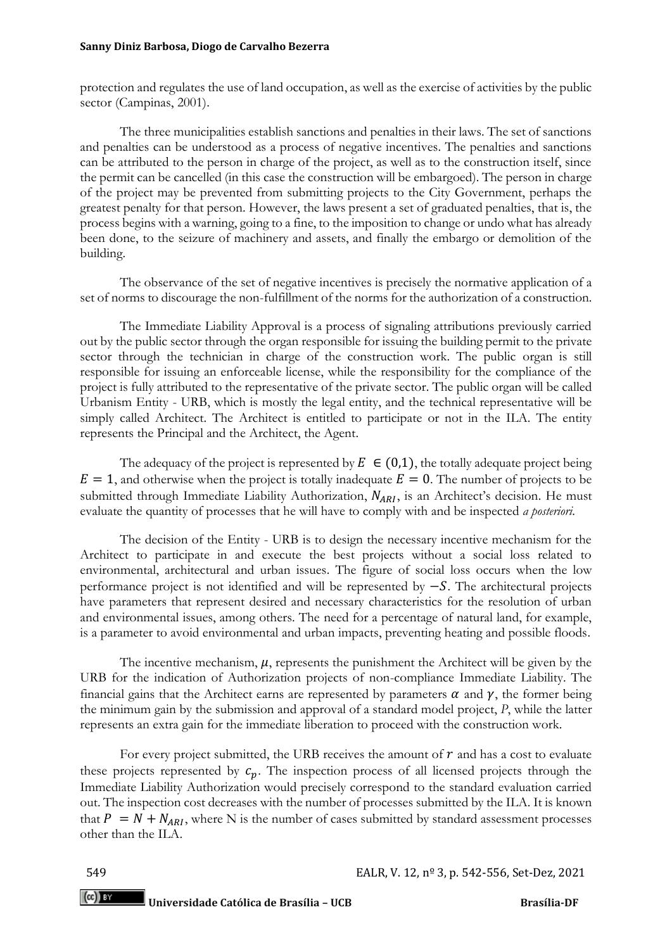protection and regulates the use of land occupation, as well as the exercise of activities by the public sector (Campinas, 2001).

The three municipalities establish sanctions and penalties in their laws. The set of sanctions and penalties can be understood as a process of negative incentives. The penalties and sanctions can be attributed to the person in charge of the project, as well as to the construction itself, since the permit can be cancelled (in this case the construction will be embargoed). The person in charge of the project may be prevented from submitting projects to the City Government, perhaps the greatest penalty for that person. However, the laws present a set of graduated penalties, that is, the process begins with a warning, going to a fine, to the imposition to change or undo what has already been done, to the seizure of machinery and assets, and finally the embargo or demolition of the building.

The observance of the set of negative incentives is precisely the normative application of a set of norms to discourage the non-fulfillment of the norms for the authorization of a construction.

The Immediate Liability Approval is a process of signaling attributions previously carried out by the public sector through the organ responsible for issuing the building permit to the private sector through the technician in charge of the construction work. The public organ is still responsible for issuing an enforceable license, while the responsibility for the compliance of the project is fully attributed to the representative of the private sector. The public organ will be called Urbanism Entity - URB, which is mostly the legal entity, and the technical representative will be simply called Architect. The Architect is entitled to participate or not in the ILA. The entity represents the Principal and the Architect, the Agent.

The adequacy of the project is represented by  $E \in (0,1)$ , the totally adequate project being  $E = 1$ , and otherwise when the project is totally inadequate  $E = 0$ . The number of projects to be submitted through Immediate Liability Authorization,  $N_{ARI}$ , is an Architect's decision. He must evaluate the quantity of processes that he will have to comply with and be inspected *a posteriori*.

The decision of the Entity - URB is to design the necessary incentive mechanism for the Architect to participate in and execute the best projects without a social loss related to environmental, architectural and urban issues. The figure of social loss occurs when the low performance project is not identified and will be represented by  $-S$ . The architectural projects have parameters that represent desired and necessary characteristics for the resolution of urban and environmental issues, among others. The need for a percentage of natural land, for example, is a parameter to avoid environmental and urban impacts, preventing heating and possible floods.

The incentive mechanism,  $\mu$ , represents the punishment the Architect will be given by the URB for the indication of Authorization projects of non-compliance Immediate Liability. The financial gains that the Architect earns are represented by parameters  $\alpha$  and  $\gamma$ , the former being the minimum gain by the submission and approval of a standard model project, *P*, while the latter represents an extra gain for the immediate liberation to proceed with the construction work.

For every project submitted, the URB receives the amount of  $r$  and has a cost to evaluate these projects represented by  $c_n$ . The inspection process of all licensed projects through the Immediate Liability Authorization would precisely correspond to the standard evaluation carried out. The inspection cost decreases with the number of processes submitted by the ILA. It is known that  $P = N + N_{ARI}$ , where N is the number of cases submitted by standard assessment processes other than the ILA.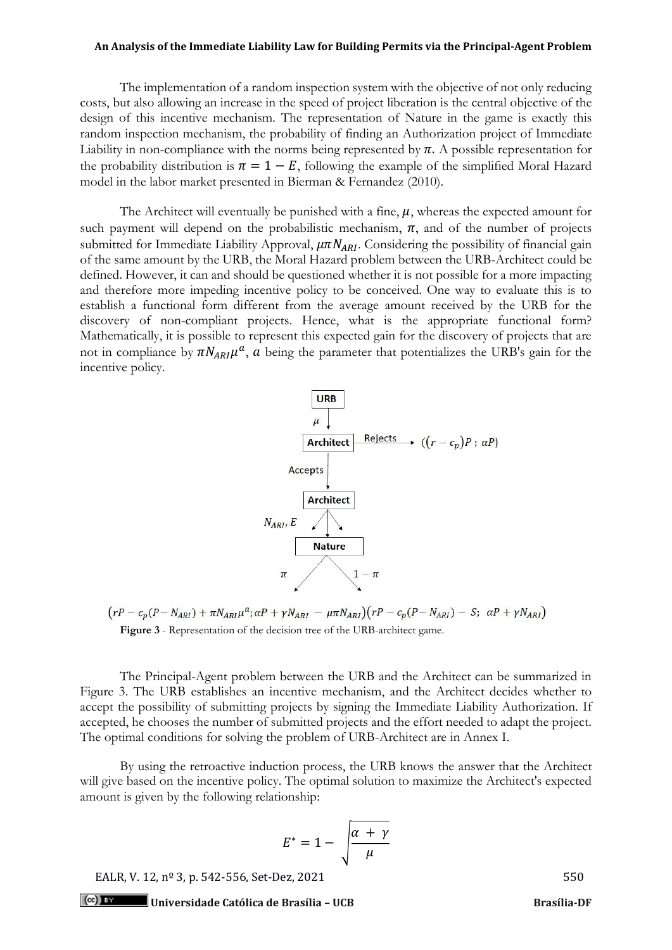The implementation of a random inspection system with the objective of not only reducing costs, but also allowing an increase in the speed of project liberation is the central objective of the design of this incentive mechanism. The representation of Nature in the game is exactly this random inspection mechanism, the probability of finding an Authorization project of Immediate Liability in non-compliance with the norms being represented by  $\pi$ . A possible representation for the probability distribution is  $\pi = 1 - E$ , following the example of the simplified Moral Hazard model in the labor market presented in Bierman & Fernandez (2010).

The Architect will eventually be punished with a fine,  $\mu$ , whereas the expected amount for such payment will depend on the probabilistic mechanism,  $\pi$ , and of the number of projects submitted for Immediate Liability Approval,  $\mu \pi N_{ARI}$ . Considering the possibility of financial gain of the same amount by the URB, the Moral Hazard problem between the URB-Architect could be defined. However, it can and should be questioned whether it is not possible for a more impacting and therefore more impeding incentive policy to be conceived. One way to evaluate this is to establish a functional form different from the average amount received by the URB for the discovery of non-compliant projects. Hence, what is the appropriate functional form? Mathematically, it is possible to represent this expected gain for the discovery of projects that are not in compliance by  $\pi N_{ARI} \mu^a$ , a being the parameter that potentializes the URB's gain for the incentive policy.



 $(rP - c_p(P - N_{ARI}) + \pi N_{ARI}\mu^a; \alpha P + \gamma N_{ARI} - \mu \pi N_{ARI})(rP - c_p(P - N_{ARI}) - S; \alpha P + \gamma N_{ARI})$ **Figure 3** - Representation of the decision tree of the URB-architect game.

The Principal-Agent problem between the URB and the Architect can be summarized in Figure 3. The URB establishes an incentive mechanism, and the Architect decides whether to accept the possibility of submitting projects by signing the Immediate Liability Authorization. If accepted, he chooses the number of submitted projects and the effort needed to adapt the project. The optimal conditions for solving the problem of URB-Architect are in Annex I.

By using the retroactive induction process, the URB knows the answer that the Architect will give based on the incentive policy. The optimal solution to maximize the Architect's expected amount is given by the following relationship:

$$
E^* = 1 - \sqrt{\frac{\alpha + \gamma}{\mu}}
$$

EALR, V. 12, nº 3, p. 542-556, Set-Dez, 2021 550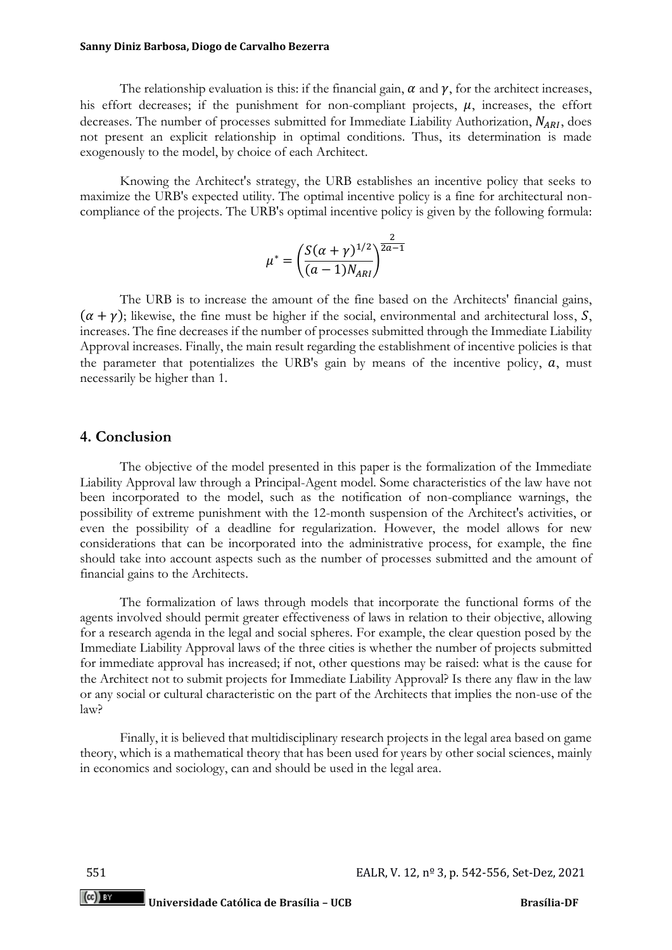#### **Sanny Diniz Barbosa, Diogo de Carvalho Bezerra**

The relationship evaluation is this: if the financial gain,  $\alpha$  and  $\gamma$ , for the architect increases, his effort decreases; if the punishment for non-compliant projects,  $\mu$ , increases, the effort decreases. The number of processes submitted for Immediate Liability Authorization,  $N_{ARI}$ , does not present an explicit relationship in optimal conditions. Thus, its determination is made exogenously to the model, by choice of each Architect.

Knowing the Architect's strategy, the URB establishes an incentive policy that seeks to maximize the URB's expected utility. The optimal incentive policy is a fine for architectural noncompliance of the projects. The URB's optimal incentive policy is given by the following formula:

$$
\mu^* = \left(\frac{S(\alpha + \gamma)^{1/2}}{(a-1)N_{ARI}}\right)^{\frac{2}{2a-1}}
$$

The URB is to increase the amount of the fine based on the Architects' financial gains,  $(\alpha + \gamma)$ ; likewise, the fine must be higher if the social, environmental and architectural loss, S, increases. The fine decreases if the number of processes submitted through the Immediate Liability Approval increases. Finally, the main result regarding the establishment of incentive policies is that the parameter that potentializes the URB's gain by means of the incentive policy,  $a$ , must necessarily be higher than 1.

## **4. Conclusion**

The objective of the model presented in this paper is the formalization of the Immediate Liability Approval law through a Principal-Agent model. Some characteristics of the law have not been incorporated to the model, such as the notification of non-compliance warnings, the possibility of extreme punishment with the 12-month suspension of the Architect's activities, or even the possibility of a deadline for regularization. However, the model allows for new considerations that can be incorporated into the administrative process, for example, the fine should take into account aspects such as the number of processes submitted and the amount of financial gains to the Architects.

The formalization of laws through models that incorporate the functional forms of the agents involved should permit greater effectiveness of laws in relation to their objective, allowing for a research agenda in the legal and social spheres. For example, the clear question posed by the Immediate Liability Approval laws of the three cities is whether the number of projects submitted for immediate approval has increased; if not, other questions may be raised: what is the cause for the Architect not to submit projects for Immediate Liability Approval? Is there any flaw in the law or any social or cultural characteristic on the part of the Architects that implies the non-use of the law?

Finally, it is believed that multidisciplinary research projects in the legal area based on game theory, which is a mathematical theory that has been used for years by other social sciences, mainly in economics and sociology, can and should be used in the legal area.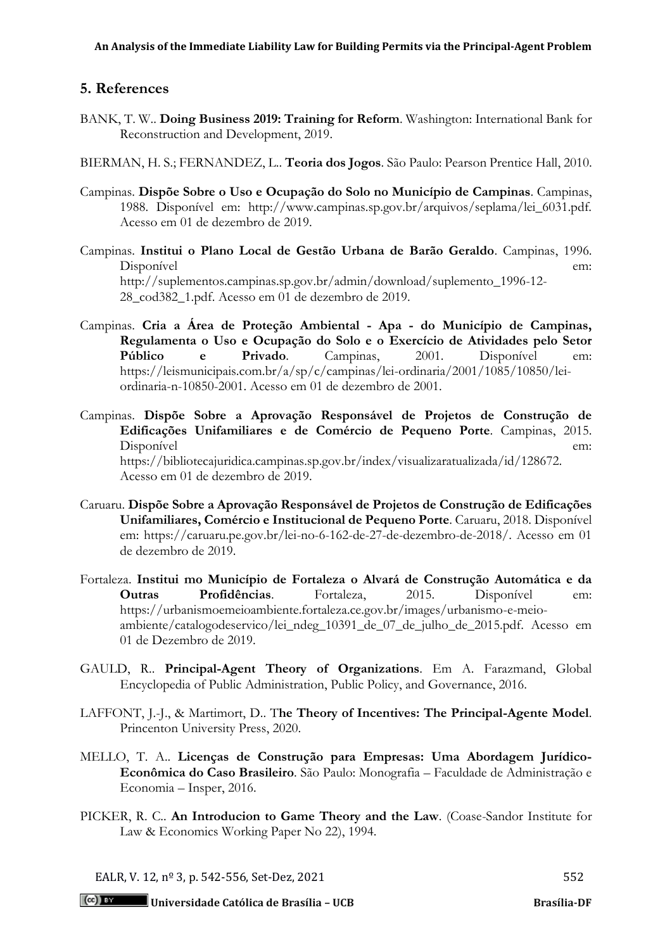## **5. References**

- BANK, T. W.. **Doing Business 2019: Training for Reform**. Washington: International Bank for Reconstruction and Development, 2019.
- BIERMAN, H. S.; FERNANDEZ, L.. **Teoria dos Jogos**. São Paulo: Pearson Prentice Hall, 2010.
- Campinas. **Dispõe Sobre o Uso e Ocupação do Solo no Município de Campinas**. Campinas, 1988. Disponível em: http://www.campinas.sp.gov.br/arquivos/seplama/lei\_6031.pdf. Acesso em 01 de dezembro de 2019.
- Campinas. **Institui o Plano Local de Gestão Urbana de Barão Geraldo**. Campinas, 1996. Disponível em: http://suplementos.campinas.sp.gov.br/admin/download/suplemento\_1996-12- 28\_cod382\_1.pdf. Acesso em 01 de dezembro de 2019.
- Campinas. **Cria a Área de Proteção Ambiental - Apa - do Município de Campinas, Regulamenta o Uso e Ocupação do Solo e o Exercício de Atividades pelo Setor Público e Privado**. Campinas, 2001. Disponível em: https://leismunicipais.com.br/a/sp/c/campinas/lei-ordinaria/2001/1085/10850/leiordinaria-n-10850-2001. Acesso em 01 de dezembro de 2001.
- Campinas. **Dispõe Sobre a Aprovação Responsável de Projetos de Construção de Edificações Unifamiliares e de Comércio de Pequeno Porte**. Campinas, 2015. Disponível em: https://bibliotecajuridica.campinas.sp.gov.br/index/visualizaratualizada/id/128672. Acesso em 01 de dezembro de 2019.
- Caruaru. **Dispõe Sobre a Aprovação Responsável de Projetos de Construção de Edificações Unifamiliares, Comércio e Institucional de Pequeno Porte**. Caruaru, 2018. Disponível em: https://caruaru.pe.gov.br/lei-no-6-162-de-27-de-dezembro-de-2018/. Acesso em 01 de dezembro de 2019.
- Fortaleza. **Institui mo Município de Fortaleza o Alvará de Construção Automática e da Outras Profidências**. Fortaleza, 2015. Disponível em: https://urbanismoemeioambiente.fortaleza.ce.gov.br/images/urbanismo-e-meioambiente/catalogodeservico/lei\_ndeg\_10391\_de\_07\_de\_julho\_de\_2015.pdf. Acesso em 01 de Dezembro de 2019.
- GAULD, R.. **Principal-Agent Theory of Organizations**. Em A. Farazmand, Global Encyclopedia of Public Administration, Public Policy, and Governance, 2016.
- LAFFONT, J.-J., & Martimort, D.. T**he Theory of Incentives: The Principal-Agente Model**. Princenton University Press, 2020.
- MELLO, T. A.. **Licenças de Construção para Empresas: Uma Abordagem Jurídico-Econômica do Caso Brasileiro**. São Paulo: Monografia – Faculdade de Administração e Economia – Insper, 2016.
- PICKER, R. C.. **An Introducion to Game Theory and the Law**. (Coase-Sandor Institute for Law & Economics Working Paper No 22), 1994.

EALR, V. 12, nº 3, p. 542-556, Set-Dez, 2021 552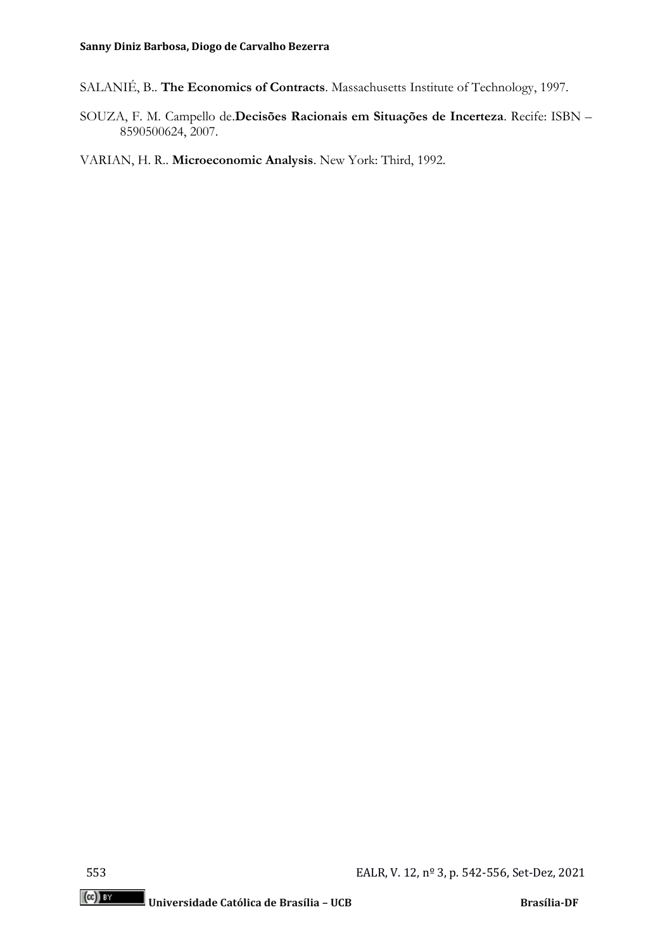- SALANIÉ, B.. **The Economics of Contracts**. Massachusetts Institute of Technology, 1997.
- SOUZA, F. M. Campello de.**Decisões Racionais em Situações de Incerteza**. Recife: ISBN 8590500624, 2007.

VARIAN, H. R.. **Microeconomic Analysis**. New York: Third, 1992.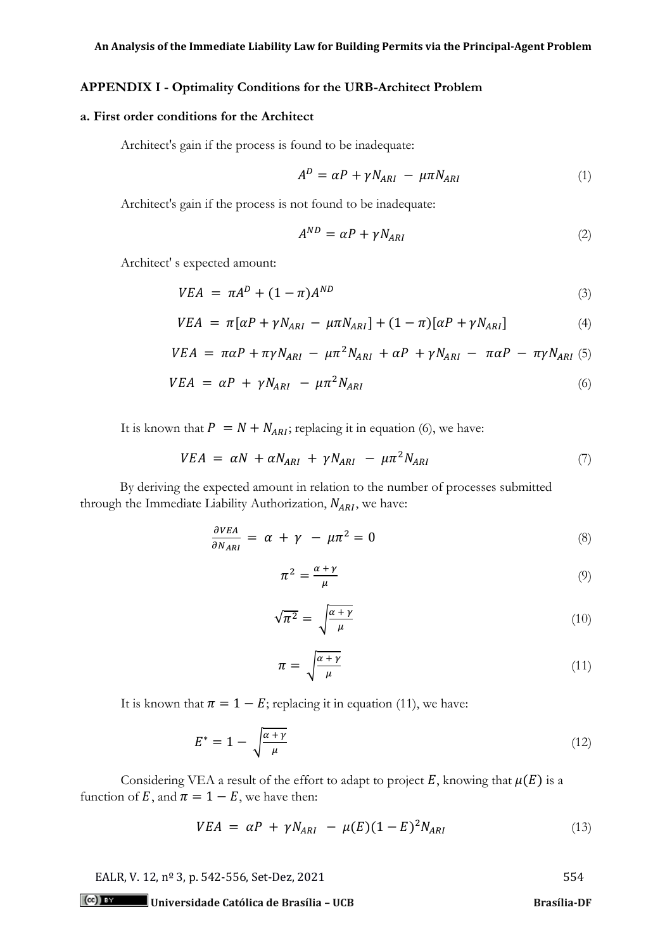## **APPENDIX I - Optimality Conditions for the URB-Architect Problem**

## **a. First order conditions for the Architect**

Architect's gain if the process is found to be inadequate:

$$
A^{D} = \alpha P + \gamma N_{ARI} - \mu \pi N_{ARI}
$$
 (1)

Architect's gain if the process is not found to be inadequate:

$$
A^{ND} = \alpha P + \gamma N_{ARI} \tag{2}
$$

Architect' s expected amount:

$$
VEA = \pi A^D + (1 - \pi)A^{ND} \tag{3}
$$

$$
VEA = \pi[\alpha P + \gamma N_{ARI} - \mu \pi N_{ARI}] + (1 - \pi)[\alpha P + \gamma N_{ARI}] \tag{4}
$$

$$
VEA = \pi \alpha P + \pi \gamma N_{ARI} - \mu \pi^2 N_{ARI} + \alpha P + \gamma N_{ARI} - \pi \alpha P - \pi \gamma N_{ARI} \quad (5)
$$

$$
VEA = \alpha P + \gamma N_{ARI} - \mu \pi^2 N_{ARI} \tag{6}
$$

It is known that  $P = N + N_{ARI}$ ; replacing it in equation (6), we have:

$$
VEA = \alpha N + \alpha N_{ARI} + \gamma N_{ARI} - \mu \pi^2 N_{ARI} \tag{7}
$$

By deriving the expected amount in relation to the number of processes submitted through the Immediate Liability Authorization,  $N_{ARI}$ , we have:

$$
\frac{\partial VEA}{\partial N_{ARI}} = \alpha + \gamma - \mu \pi^2 = 0 \tag{8}
$$

$$
\pi^2 = \frac{\alpha + \gamma}{\mu} \tag{9}
$$

$$
\sqrt{\pi^2} = \sqrt{\frac{\alpha + \gamma}{\mu}}\tag{10}
$$

$$
\pi = \sqrt{\frac{\alpha + \gamma}{\mu}} \tag{11}
$$

It is known that  $\pi = 1 - E$ ; replacing it in equation (11), we have:

$$
E^* = 1 - \sqrt{\frac{\alpha + \gamma}{\mu}}\tag{12}
$$

Considering VEA a result of the effort to adapt to project  $E$ , knowing that  $\mu(E)$  is a function of E, and  $\pi = 1 - E$ , we have then:

$$
VEA = \alpha P + \gamma N_{ARI} - \mu(E)(1 - E)^2 N_{ARI}
$$
 (13)

EALR, V. 12, nº 3, p. 542-556, Set-Dez, 2021 554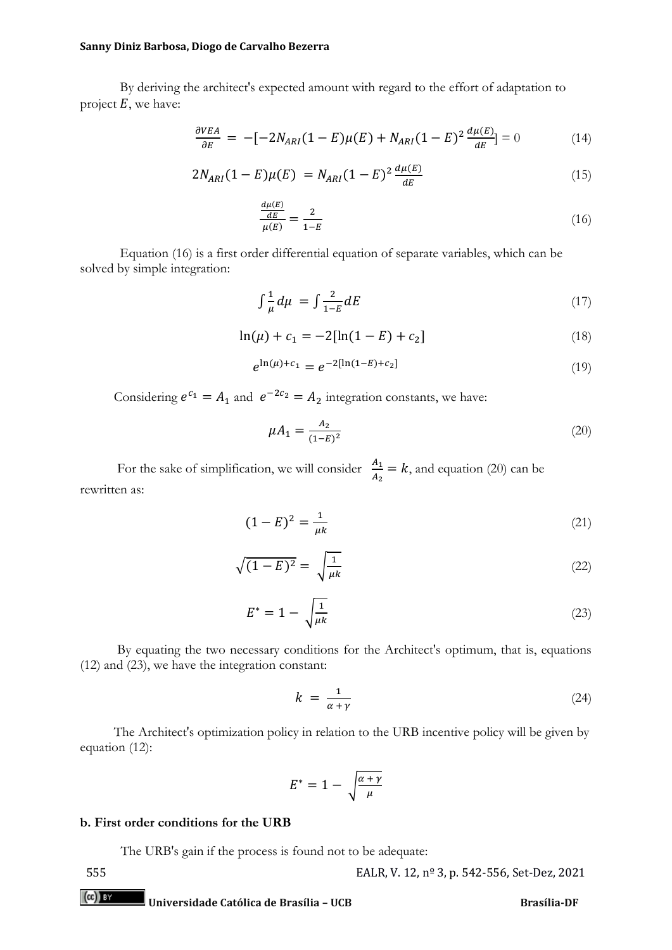#### **Sanny Diniz Barbosa, Diogo de Carvalho Bezerra**

By deriving the architect's expected amount with regard to the effort of adaptation to project  $E$ , we have:

$$
\frac{\partial VEA}{\partial E} = -[-2N_{ARI}(1 - E)\mu(E) + N_{ARI}(1 - E)^2 \frac{d\mu(E)}{dE}] = 0 \tag{14}
$$

$$
2N_{ARI}(1 - E)\mu(E) = N_{ARI}(1 - E)^{2} \frac{d\mu(E)}{dE}
$$
\n(15)

$$
\frac{\frac{d\mu(E)}{dE}}{\mu(E)} = \frac{2}{1-E} \tag{16}
$$

Equation (16) is a first order differential equation of separate variables, which can be solved by simple integration:

$$
\int \frac{1}{\mu} d\mu = \int \frac{2}{1 - E} dE \tag{17}
$$

$$
\ln(\mu) + c_1 = -2[\ln(1 - E) + c_2]
$$
\n(18)

$$
e^{\ln(\mu) + c_1} = e^{-2[\ln(1 - E) + c_2]}
$$
\n(19)

Considering  $e^{c_1} = A_1$  and  $e^{-2c_2} = A_2$  integration constants, we have:

$$
\mu A_1 = \frac{A_2}{(1 - E)^2} \tag{20}
$$

For the sake of simplification, we will consider  $\frac{A_1}{A_2} = k$ , and equation (20) can be rewritten as:

$$
(1 - E)^2 = \frac{1}{\mu k} \tag{21}
$$

$$
\sqrt{(1-E)^2} = \sqrt{\frac{1}{\mu k}}\tag{22}
$$

$$
E^* = 1 - \sqrt{\frac{1}{\mu k}}\tag{23}
$$

 By equating the two necessary conditions for the Architect's optimum, that is, equations (12) and (23), we have the integration constant:

$$
k = \frac{1}{\alpha + \gamma} \tag{24}
$$

 The Architect's optimization policy in relation to the URB incentive policy will be given by equation (12):

$$
E^* = 1 - \sqrt{\frac{\alpha + \gamma}{\mu}}
$$

## **b. First order conditions for the URB**

The URB's gain if the process is found not to be adequate: